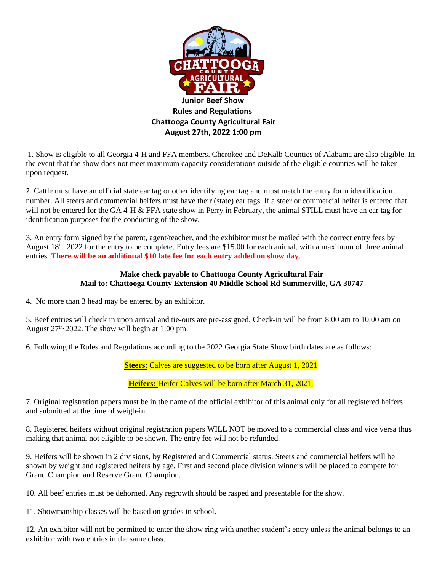

1. Show is eligible to all Georgia 4-H and FFA members. Cherokee and DeKalb Counties of Alabama are also eligible. In the event that the show does not meet maximum capacity considerations outside of the eligible counties will be taken upon request.

2. Cattle must have an official state ear tag or other identifying ear tag and must match the entry form identification number. All steers and commercial heifers must have their (state) ear tags. If a steer or commercial heifer is entered that will not be entered for the GA 4-H & FFA state show in Perry in February, the animal STILL must have an ear tag for identification purposes for the conducting of the show.

3. An entry form signed by the parent, agent/teacher, and the exhibitor must be mailed with the correct entry fees by August 18<sup>th</sup>, 2022 for the entry to be complete. Entry fees are \$15.00 for each animal, with a maximum of three animal entries. **There will be an additional \$10 late fee for each entry added on show day**.

## **Make check payable to Chattooga County Agricultural Fair Mail to: Chattooga County Extension 40 Middle School Rd Summerville, GA 30747**

4. No more than 3 head may be entered by an exhibitor.

5. Beef entries will check in upon arrival and tie-outs are pre-assigned. Check-in will be from 8:00 am to 10:00 am on August  $27<sup>th</sup>$ , 2022. The show will begin at 1:00 pm.

6. Following the Rules and Regulations according to the 2022 Georgia State Show birth dates are as follows:

**Steers**: Calves are suggested to be born after August 1, 2021

**Heifers:** Heifer Calves will be born after March 31, 2021.

7. Original registration papers must be in the name of the official exhibitor of this animal only for all registered heifers and submitted at the time of weigh-in.

8. Registered heifers without original registration papers WILL NOT be moved to a commercial class and vice versa thus making that animal not eligible to be shown. The entry fee will not be refunded.

9. Heifers will be shown in 2 divisions, by Registered and Commercial status. Steers and commercial heifers will be shown by weight and registered heifers by age. First and second place division winners will be placed to compete for Grand Champion and Reserve Grand Champion.

10. All beef entries must be dehorned. Any regrowth should be rasped and presentable for the show.

11. Showmanship classes will be based on grades in school.

12. An exhibitor will not be permitted to enter the show ring with another student's entry unless the animal belongs to an exhibitor with two entries in the same class.